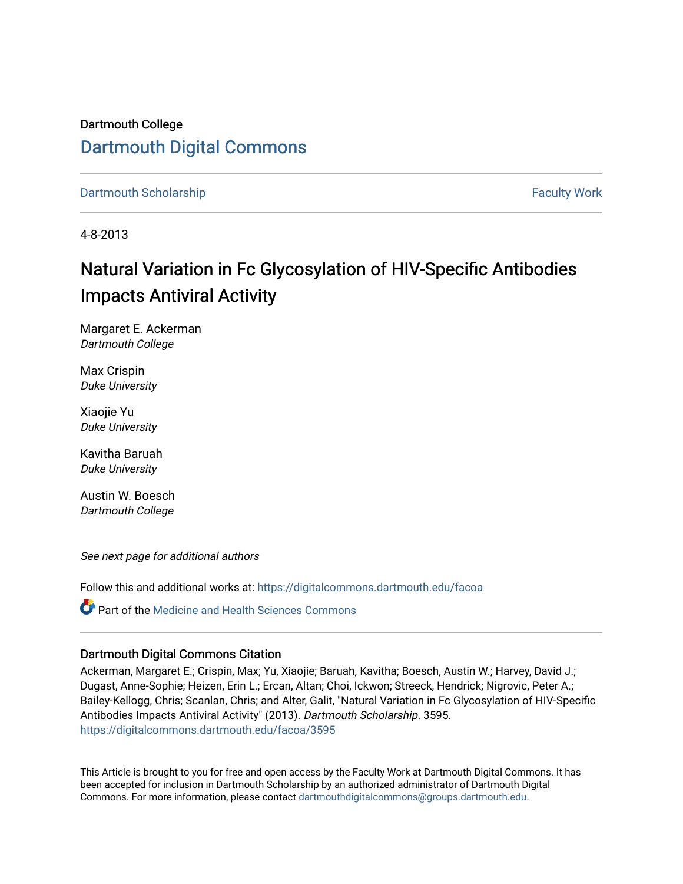# Dartmouth College [Dartmouth Digital Commons](https://digitalcommons.dartmouth.edu/)

[Dartmouth Scholarship](https://digitalcommons.dartmouth.edu/facoa) [Faculty Work](https://digitalcommons.dartmouth.edu/faculty) and The Basic Scholarship Faculty Work Faculty Work

4-8-2013

# Natural Variation in Fc Glycosylation of HIV-Specific Antibodies Impacts Antiviral Activity

Margaret E. Ackerman Dartmouth College

Max Crispin Duke University

Xiaojie Yu Duke University

Kavitha Baruah Duke University

Austin W. Boesch Dartmouth College

See next page for additional authors

Follow this and additional works at: [https://digitalcommons.dartmouth.edu/facoa](https://digitalcommons.dartmouth.edu/facoa?utm_source=digitalcommons.dartmouth.edu%2Ffacoa%2F3595&utm_medium=PDF&utm_campaign=PDFCoverPages)

**C** Part of the Medicine and Health Sciences Commons

### Dartmouth Digital Commons Citation

Ackerman, Margaret E.; Crispin, Max; Yu, Xiaojie; Baruah, Kavitha; Boesch, Austin W.; Harvey, David J.; Dugast, Anne-Sophie; Heizen, Erin L.; Ercan, Altan; Choi, Ickwon; Streeck, Hendrick; Nigrovic, Peter A.; Bailey-Kellogg, Chris; Scanlan, Chris; and Alter, Galit, "Natural Variation in Fc Glycosylation of HIV-Specific Antibodies Impacts Antiviral Activity" (2013). Dartmouth Scholarship. 3595. [https://digitalcommons.dartmouth.edu/facoa/3595](https://digitalcommons.dartmouth.edu/facoa/3595?utm_source=digitalcommons.dartmouth.edu%2Ffacoa%2F3595&utm_medium=PDF&utm_campaign=PDFCoverPages) 

This Article is brought to you for free and open access by the Faculty Work at Dartmouth Digital Commons. It has been accepted for inclusion in Dartmouth Scholarship by an authorized administrator of Dartmouth Digital Commons. For more information, please contact [dartmouthdigitalcommons@groups.dartmouth.edu](mailto:dartmouthdigitalcommons@groups.dartmouth.edu).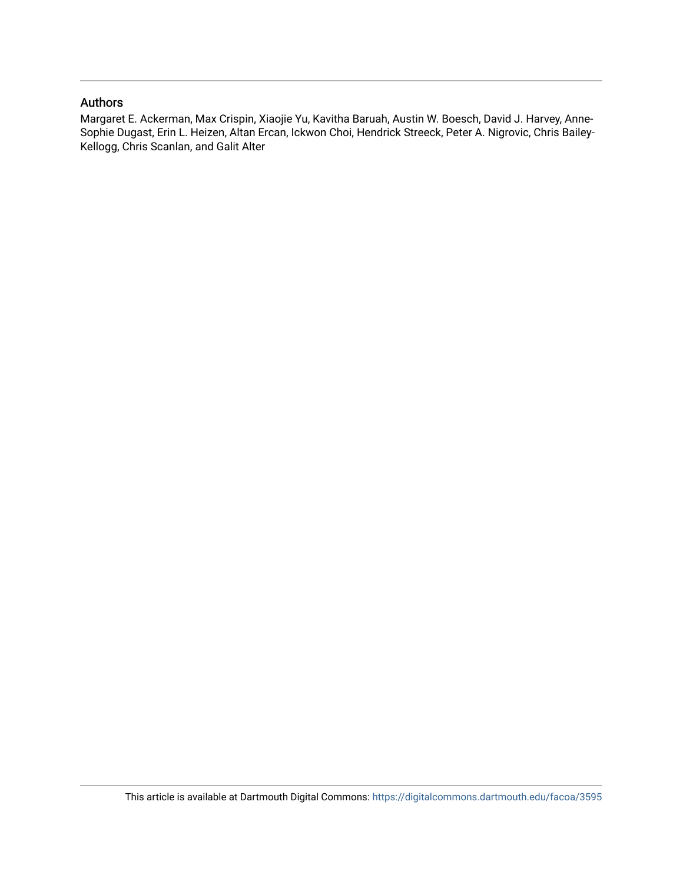# Authors

Margaret E. Ackerman, Max Crispin, Xiaojie Yu, Kavitha Baruah, Austin W. Boesch, David J. Harvey, Anne-Sophie Dugast, Erin L. Heizen, Altan Ercan, Ickwon Choi, Hendrick Streeck, Peter A. Nigrovic, Chris Bailey-Kellogg, Chris Scanlan, and Galit Alter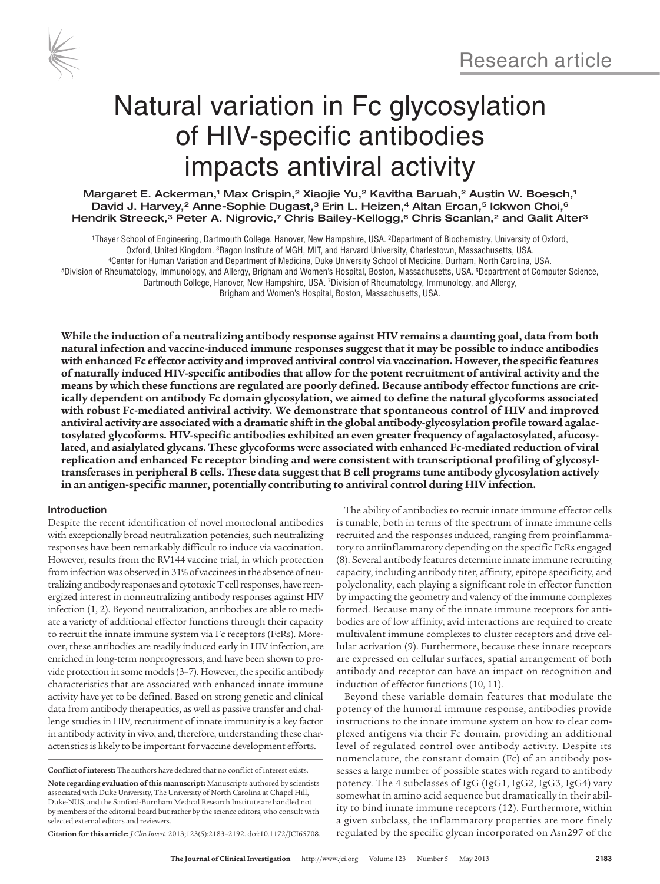

# Natural variation in Fc glycosylation of HIV-specific antibodies impacts antiviral activity

Margaret E. Ackerman,<sup>1</sup> Max Crispin,<sup>2</sup> Xiaojie Yu,<sup>2</sup> Kavitha Baruah,<sup>2</sup> Austin W. Boesch,<sup>1</sup> David J. Harvey,<sup>2</sup> Anne-Sophie Dugast,<sup>3</sup> Erin L. Heizen,<sup>4</sup> Altan Ercan,<sup>5</sup> Ickwon Choi,<sup>6</sup> Hendrik Streeck,<sup>3</sup> Peter A. Nigrovic,7 Chris Bailey-Kellogg,<sup>6</sup> Chris Scanlan,<sup>2</sup> and Galit Alter<sup>3</sup>

1Thayer School of Engineering, Dartmouth College, Hanover, New Hampshire, USA. 2Department of Biochemistry, University of Oxford, . Oxford, United Kingdom. <sup>3</sup>Ragon Institute of MGH, MIT, and Harvard University, Charlestown, Massachusetts, USA<br>Genter for Human Variation and Department of Medicine, Duke University School of Medicine, Durham, North Car Dartmouth College, Hanover, New Hampshire, USA. 7Division of Rheumatology, Immunology, and Allergy, Brigham and Women's Hospital, Boston, Massachusetts, USA.

**While the induction of a neutralizing antibody response against HIV remains a daunting goal, data from both natural infection and vaccine-induced immune responses suggest that it may be possible to induce antibodies with enhanced Fc effector activity and improved antiviral control via vaccination. However, the specific features of naturally induced HIV-specific antibodies that allow for the potent recruitment of antiviral activity and the means by which these functions are regulated are poorly defined. Because antibody effector functions are critically dependent on antibody Fc domain glycosylation, we aimed to define the natural glycoforms associated with robust Fc-mediated antiviral activity. We demonstrate that spontaneous control of HIV and improved antiviral activity are associated with a dramatic shift in the global antibody-glycosylation profile toward agalactosylated glycoforms. HIV-specific antibodies exhibited an even greater frequency of agalactosylated, afucosylated, and asialylated glycans. These glycoforms were associated with enhanced Fc-mediated reduction of viral replication and enhanced Fc receptor binding and were consistent with transcriptional profiling of glycosyltransferases in peripheral B cells. These data suggest that B cell programs tune antibody glycosylation actively in an antigen-specific manner, potentially contributing to antiviral control during HIV infection.**

#### **Introduction**

Despite the recent identification of novel monoclonal antibodies with exceptionally broad neutralization potencies, such neutralizing responses have been remarkably difficult to induce via vaccination. However, results from the RV144 vaccine trial, in which protection from infection was observed in 31% of vaccinees in the absence of neutralizing antibody responses and cytotoxic T cell responses, have reenergized interest in nonneutralizing antibody responses against HIV infection (1, 2). Beyond neutralization, antibodies are able to mediate a variety of additional effector functions through their capacity to recruit the innate immune system via Fc receptors (FcRs). Moreover, these antibodies are readily induced early in HIV infection, are enriched in long-term nonprogressors, and have been shown to provide protection in some models (3–7). However, the specific antibody characteristics that are associated with enhanced innate immune activity have yet to be defined. Based on strong genetic and clinical data from antibody therapeutics, as well as passive transfer and challenge studies in HIV, recruitment of innate immunity is a key factor in antibody activity in vivo, and, therefore, understanding these characteristics is likely to be important for vaccine development efforts.

**Conflict of interest:** The authors have declared that no conflict of interest exists. **Note regarding evaluation of this manuscript:** Manuscripts authored by scientists associated with Duke University, The University of North Carolina at Chapel Hill, Duke-NUS, and the Sanford-Burnham Medical Research Institute are handled not by members of the editorial board but rather by the science editors, who consult with selected external editors and reviewers.

**Citation for this article:** *J Clin Invest.* 2013;123(5):2183–2192. doi:10.1172/JCI65708.

The ability of antibodies to recruit innate immune effector cells is tunable, both in terms of the spectrum of innate immune cells recruited and the responses induced, ranging from proinflammatory to antiinflammatory depending on the specific FcRs engaged (8). Several antibody features determine innate immune recruiting capacity, including antibody titer, affinity, epitope specificity, and polyclonality, each playing a significant role in effector function by impacting the geometry and valency of the immune complexes formed. Because many of the innate immune receptors for antibodies are of low affinity, avid interactions are required to create multivalent immune complexes to cluster receptors and drive cellular activation (9). Furthermore, because these innate receptors are expressed on cellular surfaces, spatial arrangement of both antibody and receptor can have an impact on recognition and induction of effector functions (10, 11).

Beyond these variable domain features that modulate the potency of the humoral immune response, antibodies provide instructions to the innate immune system on how to clear complexed antigens via their Fc domain, providing an additional level of regulated control over antibody activity. Despite its nomenclature, the constant domain (Fc) of an antibody possesses a large number of possible states with regard to antibody potency. The 4 subclasses of IgG (IgG1, IgG2, IgG3, IgG4) vary somewhat in amino acid sequence but dramatically in their ability to bind innate immune receptors (12). Furthermore, within a given subclass, the inflammatory properties are more finely regulated by the specific glycan incorporated on Asn297 of the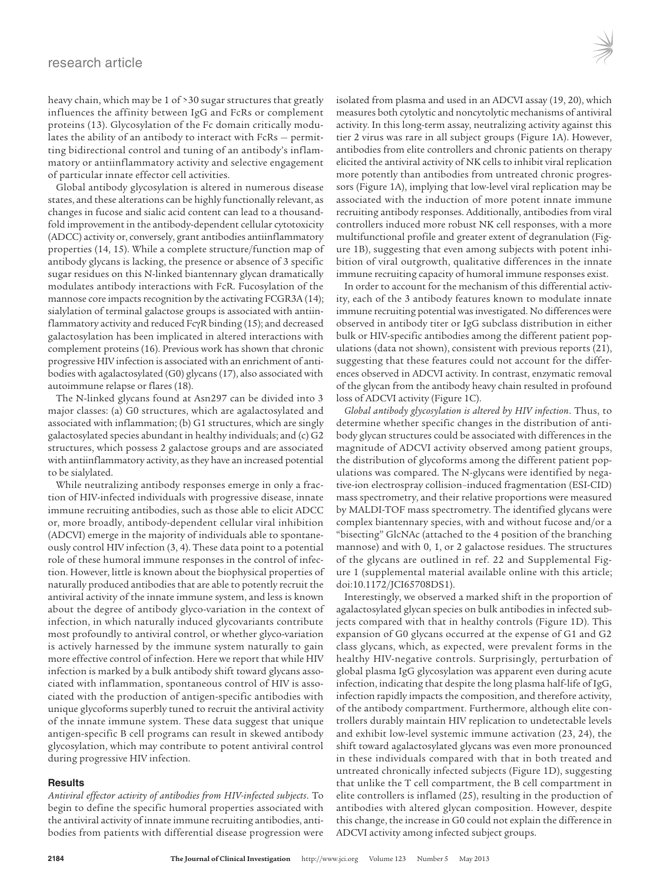heavy chain, which may be 1 of >30 sugar structures that greatly influences the affinity between IgG and FcRs or complement proteins (13). Glycosylation of the Fc domain critically modulates the ability of an antibody to interact with FcRs — permitting bidirectional control and tuning of an antibody's inflammatory or antiinflammatory activity and selective engagement of particular innate effector cell activities.

Global antibody glycosylation is altered in numerous disease states, and these alterations can be highly functionally relevant, as changes in fucose and sialic acid content can lead to a thousandfold improvement in the antibody-dependent cellular cytotoxicity (ADCC) activity or, conversely, grant antibodies antiinflammatory properties (14, 15). While a complete structure/function map of antibody glycans is lacking, the presence or absence of 3 specific sugar residues on this N-linked biantennary glycan dramatically modulates antibody interactions with FcR. Fucosylation of the mannose core impacts recognition by the activating FCGR3A (14); sialylation of terminal galactose groups is associated with antiinflammatory activity and reduced FcγR binding (15); and decreased galactosylation has been implicated in altered interactions with complement proteins (16). Previous work has shown that chronic progressive HIV infection is associated with an enrichment of antibodies with agalactosylated (G0) glycans (17), also associated with autoimmune relapse or flares (18).

The N-linked glycans found at Asn297 can be divided into 3 major classes: (a) G0 structures, which are agalactosylated and associated with inflammation; (b) G1 structures, which are singly galactosylated species abundant in healthy individuals; and (c) G2 structures, which possess 2 galactose groups and are associated with antiinflammatory activity, as they have an increased potential to be sialylated.

While neutralizing antibody responses emerge in only a fraction of HIV-infected individuals with progressive disease, innate immune recruiting antibodies, such as those able to elicit ADCC or, more broadly, antibody-dependent cellular viral inhibition (ADCVI) emerge in the majority of individuals able to spontaneously control HIV infection (3, 4). These data point to a potential role of these humoral immune responses in the control of infection. However, little is known about the biophysical properties of naturally produced antibodies that are able to potently recruit the antiviral activity of the innate immune system, and less is known about the degree of antibody glyco-variation in the context of infection, in which naturally induced glycovariants contribute most profoundly to antiviral control, or whether glyco-variation is actively harnessed by the immune system naturally to gain more effective control of infection. Here we report that while HIV infection is marked by a bulk antibody shift toward glycans associated with inflammation, spontaneous control of HIV is associated with the production of antigen-specific antibodies with unique glycoforms superbly tuned to recruit the antiviral activity of the innate immune system. These data suggest that unique antigen-specific B cell programs can result in skewed antibody glycosylation, which may contribute to potent antiviral control during progressive HIV infection.

#### **Results**

*Antiviral effector activity of antibodies from HIV-infected subjects*. To begin to define the specific humoral properties associated with the antiviral activity of innate immune recruiting antibodies, antibodies from patients with differential disease progression were

isolated from plasma and used in an ADCVI assay (19, 20), which measures both cytolytic and noncytolytic mechanisms of antiviral activity. In this long-term assay, neutralizing activity against this tier 2 virus was rare in all subject groups (Figure 1A). However, antibodies from elite controllers and chronic patients on therapy elicited the antiviral activity of NK cells to inhibit viral replication more potently than antibodies from untreated chronic progressors (Figure 1A), implying that low-level viral replication may be associated with the induction of more potent innate immune recruiting antibody responses. Additionally, antibodies from viral controllers induced more robust NK cell responses, with a more multifunctional profile and greater extent of degranulation (Figure 1B), suggesting that even among subjects with potent inhibition of viral outgrowth, qualitative differences in the innate immune recruiting capacity of humoral immune responses exist.

In order to account for the mechanism of this differential activity, each of the 3 antibody features known to modulate innate immune recruiting potential was investigated. No differences were observed in antibody titer or IgG subclass distribution in either bulk or HIV-specific antibodies among the different patient populations (data not shown), consistent with previous reports (21), suggesting that these features could not account for the differences observed in ADCVI activity. In contrast, enzymatic removal of the glycan from the antibody heavy chain resulted in profound loss of ADCVI activity (Figure 1C).

*Global antibody glycosylation is altered by HIV infection*. Thus, to determine whether specific changes in the distribution of antibody glycan structures could be associated with differences in the magnitude of ADCVI activity observed among patient groups, the distribution of glycoforms among the different patient populations was compared. The N-glycans were identified by negative-ion electrospray collision–induced fragmentation (ESI-CID) mass spectrometry, and their relative proportions were measured by MALDI-TOF mass spectrometry. The identified glycans were complex biantennary species, with and without fucose and/or a "bisecting" GlcNAc (attached to the 4 position of the branching mannose) and with 0, 1, or 2 galactose residues. The structures of the glycans are outlined in ref. 22 and Supplemental Figure 1 (supplemental material available online with this article; doi:10.1172/JCI65708DS1).

Interestingly, we observed a marked shift in the proportion of agalactosylated glycan species on bulk antibodies in infected subjects compared with that in healthy controls (Figure 1D). This expansion of G0 glycans occurred at the expense of G1 and G2 class glycans, which, as expected, were prevalent forms in the healthy HIV-negative controls. Surprisingly, perturbation of global plasma IgG glycosylation was apparent even during acute infection, indicating that despite the long plasma half-life of IgG, infection rapidly impacts the composition, and therefore activity, of the antibody compartment. Furthermore, although elite controllers durably maintain HIV replication to undetectable levels and exhibit low-level systemic immune activation (23, 24), the shift toward agalactosylated glycans was even more pronounced in these individuals compared with that in both treated and untreated chronically infected subjects (Figure 1D), suggesting that unlike the T cell compartment, the B cell compartment in elite controllers is inflamed (25), resulting in the production of antibodies with altered glycan composition. However, despite this change, the increase in G0 could not explain the difference in ADCVI activity among infected subject groups.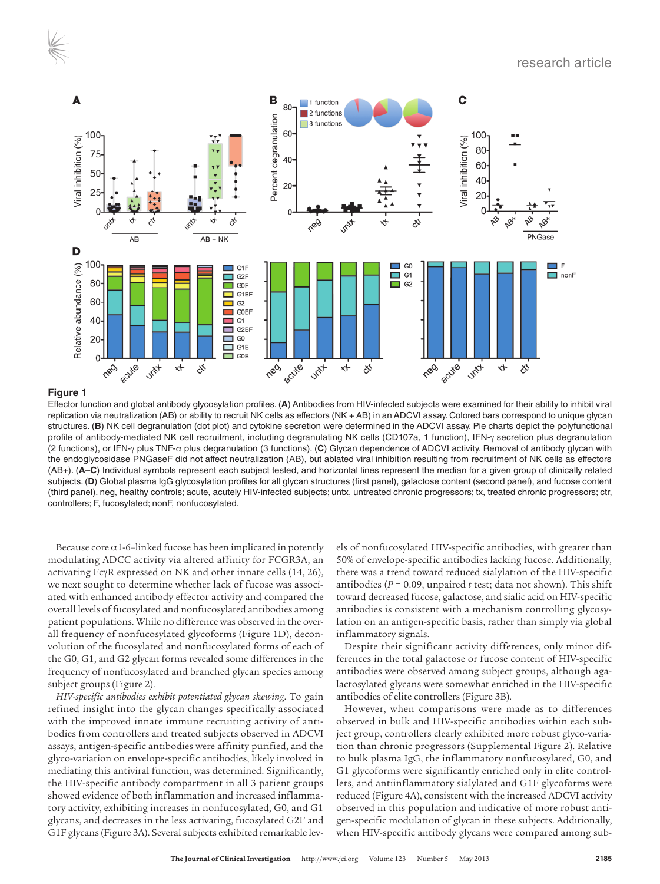

Effector function and global antibody glycosylation profiles. (**A**) Antibodies from HIV-infected subjects were examined for their ability to inhibit viral replication via neutralization (AB) or ability to recruit NK cells as effectors (NK + AB) in an ADCVI assay. Colored bars correspond to unique glycan structures. (**B**) NK cell degranulation (dot plot) and cytokine secretion were determined in the ADCVI assay. Pie charts depict the polyfunctional profile of antibody-mediated NK cell recruitment, including degranulating NK cells (CD107a, 1 function), IFN-γ secretion plus degranulation (2 functions), or IFN-γ plus TNF-α plus degranulation (3 functions). (**C**) Glycan dependence of ADCVI activity. Removal of antibody glycan with the endoglycosidase PNGaseF did not affect neutralization (AB), but ablated viral inhibition resulting from recruitment of NK cells as effectors (AB+). (**A**–**C**) Individual symbols represent each subject tested, and horizontal lines represent the median for a given group of clinically related subjects. (**D**) Global plasma IgG glycosylation profiles for all glycan structures (first panel), galactose content (second panel), and fucose content (third panel). neg, healthy controls; acute, acutely HIV-infected subjects; untx, untreated chronic progressors; tx, treated chronic progressors; ctr, controllers; F, fucosylated; nonF, nonfucosylated.

Because core  $\alpha$ 1-6-linked fucose has been implicated in potently modulating ADCC activity via altered affinity for FCGR3A, an activating FcγR expressed on NK and other innate cells (14, 26), we next sought to determine whether lack of fucose was associated with enhanced antibody effector activity and compared the overall levels of fucosylated and nonfucosylated antibodies among patient populations. While no difference was observed in the overall frequency of nonfucosylated glycoforms (Figure 1D), deconvolution of the fucosylated and nonfucosylated forms of each of the G0, G1, and G2 glycan forms revealed some differences in the frequency of nonfucosylated and branched glycan species among subject groups (Figure 2).

*HIV-specific antibodies exhibit potentiated glycan skewing*. To gain refined insight into the glycan changes specifically associated with the improved innate immune recruiting activity of antibodies from controllers and treated subjects observed in ADCVI assays, antigen-specific antibodies were affinity purified, and the glyco-variation on envelope-specific antibodies, likely involved in mediating this antiviral function, was determined. Significantly, the HIV-specific antibody compartment in all 3 patient groups showed evidence of both inflammation and increased inflammatory activity, exhibiting increases in nonfucosylated, G0, and G1 glycans, and decreases in the less activating, fucosylated G2F and G1F glycans (Figure 3A). Several subjects exhibited remarkable levels of nonfucosylated HIV-specific antibodies, with greater than 50% of envelope-specific antibodies lacking fucose. Additionally, there was a trend toward reduced sialylation of the HIV-specific antibodies (*P* = 0.09, unpaired *t* test; data not shown). This shift toward decreased fucose, galactose, and sialic acid on HIV-specific antibodies is consistent with a mechanism controlling glycosylation on an antigen-specific basis, rather than simply via global inflammatory signals.

Despite their significant activity differences, only minor differences in the total galactose or fucose content of HIV-specific antibodies were observed among subject groups, although agalactosylated glycans were somewhat enriched in the HIV-specific antibodies of elite controllers (Figure 3B).

However, when comparisons were made as to differences observed in bulk and HIV-specific antibodies within each subject group, controllers clearly exhibited more robust glyco-variation than chronic progressors (Supplemental Figure 2). Relative to bulk plasma IgG, the inflammatory nonfucosylated, G0, and G1 glycoforms were significantly enriched only in elite controllers, and antiinflammatory sialylated and G1F glycoforms were reduced (Figure 4A), consistent with the increased ADCVI activity observed in this population and indicative of more robust antigen-specific modulation of glycan in these subjects. Additionally, when HIV-specific antibody glycans were compared among sub-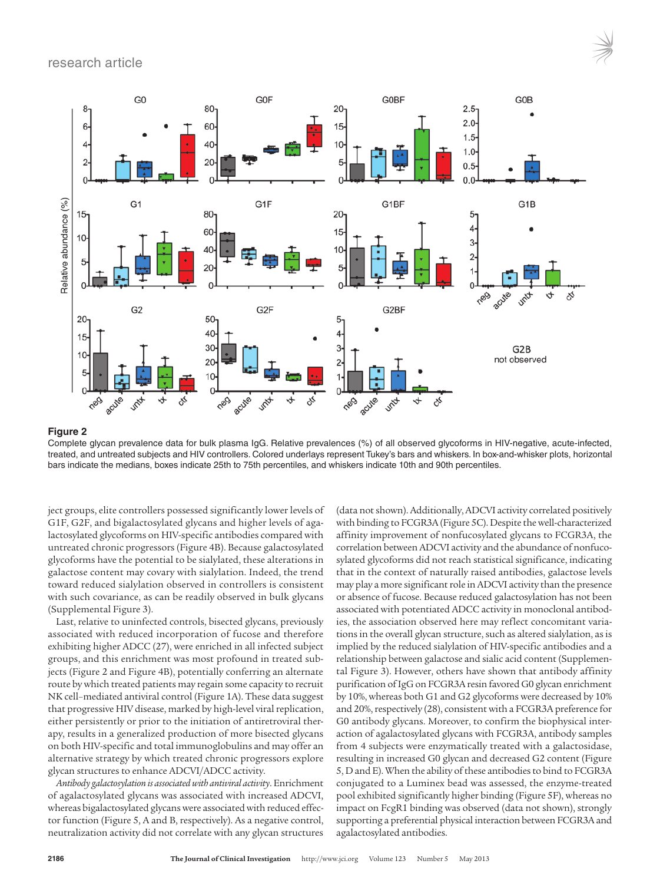## research article



#### **Figure 2**

Complete glycan prevalence data for bulk plasma IgG. Relative prevalences (%) of all observed glycoforms in HIV-negative, acute-infected, treated, and untreated subjects and HIV controllers. Colored underlays represent Tukey's bars and whiskers. In box-and-whisker plots, horizontal bars indicate the medians, boxes indicate 25th to 75th percentiles, and whiskers indicate 10th and 90th percentiles.

ject groups, elite controllers possessed significantly lower levels of G1F, G2F, and bigalactosylated glycans and higher levels of agalactosylated glycoforms on HIV-specific antibodies compared with untreated chronic progressors (Figure 4B). Because galactosylated glycoforms have the potential to be sialylated, these alterations in galactose content may covary with sialylation. Indeed, the trend toward reduced sialylation observed in controllers is consistent with such covariance, as can be readily observed in bulk glycans (Supplemental Figure 3).

Last, relative to uninfected controls, bisected glycans, previously associated with reduced incorporation of fucose and therefore exhibiting higher ADCC (27), were enriched in all infected subject groups, and this enrichment was most profound in treated subjects (Figure 2 and Figure 4B), potentially conferring an alternate route by which treated patients may regain some capacity to recruit NK cell–mediated antiviral control (Figure 1A). These data suggest that progressive HIV disease, marked by high-level viral replication, either persistently or prior to the initiation of antiretroviral therapy, results in a generalized production of more bisected glycans on both HIV-specific and total immunoglobulins and may offer an alternative strategy by which treated chronic progressors explore glycan structures to enhance ADCVI/ADCC activity.

*Antibody galactosylation is associated with antiviral activity*. Enrichment of agalactosylated glycans was associated with increased ADCVI, whereas bigalactosylated glycans were associated with reduced effector function (Figure 5, A and B, respectively). As a negative control, neutralization activity did not correlate with any glycan structures

(data not shown). Additionally, ADCVI activity correlated positively with binding to FCGR3A (Figure 5C). Despite the well-characterized affinity improvement of nonfucosylated glycans to FCGR3A, the correlation between ADCVI activity and the abundance of nonfucosylated glycoforms did not reach statistical significance, indicating that in the context of naturally raised antibodies, galactose levels may play a more significant role in ADCVI activity than the presence or absence of fucose. Because reduced galactosylation has not been associated with potentiated ADCC activity in monoclonal antibodies, the association observed here may reflect concomitant variations in the overall glycan structure, such as altered sialylation, as is implied by the reduced sialylation of HIV-specific antibodies and a relationship between galactose and sialic acid content (Supplemental Figure 3). However, others have shown that antibody affinity purification of IgG on FCGR3A resin favored G0 glycan enrichment by 10%, whereas both G1 and G2 glycoforms were decreased by 10% and 20%, respectively (28), consistent with a FCGR3A preference for G0 antibody glycans. Moreover, to confirm the biophysical interaction of agalactosylated glycans with FCGR3A, antibody samples from 4 subjects were enzymatically treated with a galactosidase, resulting in increased G0 glycan and decreased G2 content (Figure 5, D and E). When the ability of these antibodies to bind to FCGR3A conjugated to a Luminex bead was assessed, the enzyme-treated pool exhibited significantly higher binding (Figure 5F), whereas no impact on FcgR1 binding was observed (data not shown), strongly supporting a preferential physical interaction between FCGR3A and agalactosylated antibodies.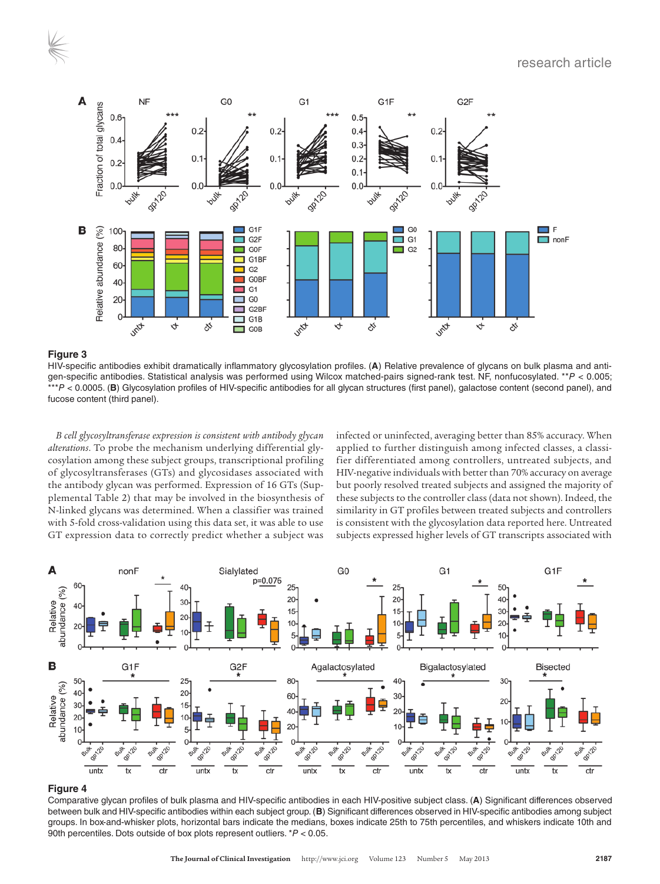

HIV-specific antibodies exhibit dramatically inflammatory glycosylation profiles. (**A**) Relative prevalence of glycans on bulk plasma and antigen-specific antibodies. Statistical analysis was performed using Wilcox matched-pairs signed-rank test. NF, nonfucosylated. \*\**P* < 0.005; \*\*\**P* < 0.0005. (**B**) Glycosylation profiles of HIV-specific antibodies for all glycan structures (first panel), galactose content (second panel), and fucose content (third panel).

*B cell glycosyltransferase expression is consistent with antibody glycan alterations*. To probe the mechanism underlying differential glycosylation among these subject groups, transcriptional profiling of glycosyltransferases (GTs) and glycosidases associated with the antibody glycan was performed. Expression of 16 GTs (Supplemental Table 2) that may be involved in the biosynthesis of N-linked glycans was determined. When a classifier was trained with 5-fold cross-validation using this data set, it was able to use GT expression data to correctly predict whether a subject was

infected or uninfected, averaging better than 85% accuracy. When applied to further distinguish among infected classes, a classifier differentiated among controllers, untreated subjects, and HIV-negative individuals with better than 70% accuracy on average but poorly resolved treated subjects and assigned the majority of these subjects to the controller class (data not shown). Indeed, the similarity in GT profiles between treated subjects and controllers is consistent with the glycosylation data reported here. Untreated subjects expressed higher levels of GT transcripts associated with



#### **Figure 4**

Comparative glycan profiles of bulk plasma and HIV-specific antibodies in each HIV-positive subject class. (**A**) Significant differences observed between bulk and HIV-specific antibodies within each subject group. (**B**) Significant differences observed in HIV-specific antibodies among subject groups. In box-and-whisker plots, horizontal bars indicate the medians, boxes indicate 25th to 75th percentiles, and whiskers indicate 10th and 90th percentiles. Dots outside of box plots represent outliers. \**P* < 0.05.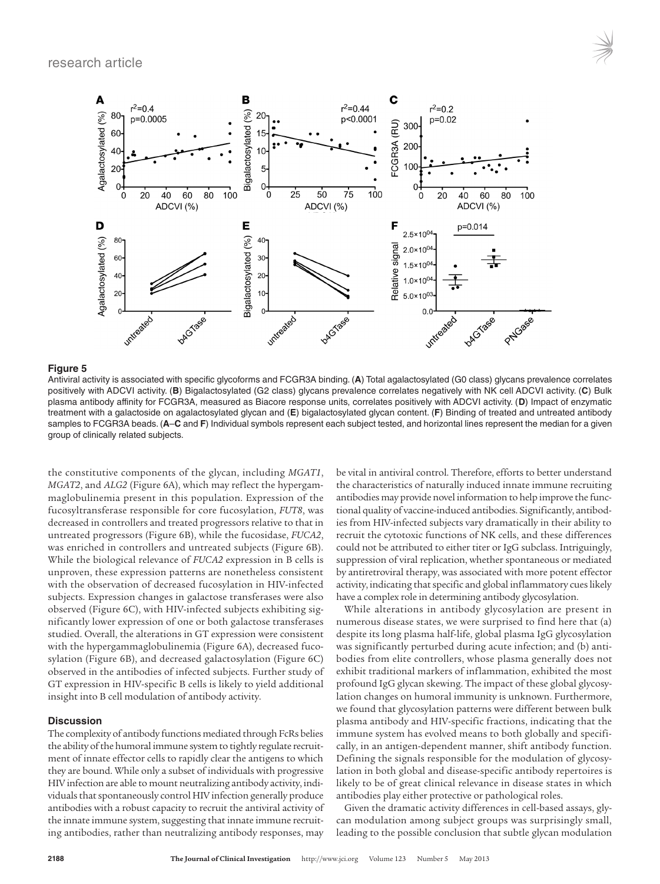

Antiviral activity is associated with specific glycoforms and FCGR3A binding. (**A**) Total agalactosylated (G0 class) glycans prevalence correlates positively with ADCVI activity. (**B**) Bigalactosylated (G2 class) glycans prevalence correlates negatively with NK cell ADCVI activity. (**C**) Bulk plasma antibody affinity for FCGR3A, measured as Biacore response units, correlates positively with ADCVI activity. (**D**) Impact of enzymatic treatment with a galactoside on agalactosylated glycan and (**E**) bigalactosylated glycan content. (**F**) Binding of treated and untreated antibody samples to FCGR3A beads. (**A**–**C** and **F**) Individual symbols represent each subject tested, and horizontal lines represent the median for a given group of clinically related subjects.

the constitutive components of the glycan, including *MGAT1*, *MGAT2*, and *ALG2* (Figure 6A), which may reflect the hypergammaglobulinemia present in this population. Expression of the fucosyltransferase responsible for core fucosylation, *FUT8*, was decreased in controllers and treated progressors relative to that in untreated progressors (Figure 6B), while the fucosidase, *FUCA2*, was enriched in controllers and untreated subjects (Figure 6B). While the biological relevance of *FUCA2* expression in B cells is unproven, these expression patterns are nonetheless consistent with the observation of decreased fucosylation in HIV-infected subjects. Expression changes in galactose transferases were also observed (Figure 6C), with HIV-infected subjects exhibiting significantly lower expression of one or both galactose transferases studied. Overall, the alterations in GT expression were consistent with the hypergammaglobulinemia (Figure 6A), decreased fucosylation (Figure 6B), and decreased galactosylation (Figure 6C) observed in the antibodies of infected subjects. Further study of GT expression in HIV-specific B cells is likely to yield additional insight into B cell modulation of antibody activity.

#### **Discussion**

The complexity of antibody functions mediated through FcRs belies the ability of the humoral immune system to tightly regulate recruitment of innate effector cells to rapidly clear the antigens to which they are bound. While only a subset of individuals with progressive HIV infection are able to mount neutralizing antibody activity, individuals that spontaneously control HIV infection generally produce antibodies with a robust capacity to recruit the antiviral activity of the innate immune system, suggesting that innate immune recruiting antibodies, rather than neutralizing antibody responses, may be vital in antiviral control. Therefore, efforts to better understand the characteristics of naturally induced innate immune recruiting antibodies may provide novel information to help improve the functional quality of vaccine-induced antibodies. Significantly, antibodies from HIV-infected subjects vary dramatically in their ability to recruit the cytotoxic functions of NK cells, and these differences could not be attributed to either titer or IgG subclass. Intriguingly, suppression of viral replication, whether spontaneous or mediated by antiretroviral therapy, was associated with more potent effector activity, indicating that specific and global inflammatory cues likely have a complex role in determining antibody glycosylation.

While alterations in antibody glycosylation are present in numerous disease states, we were surprised to find here that (a) despite its long plasma half-life, global plasma IgG glycosylation was significantly perturbed during acute infection; and (b) antibodies from elite controllers, whose plasma generally does not exhibit traditional markers of inflammation, exhibited the most profound IgG glycan skewing. The impact of these global glycosylation changes on humoral immunity is unknown. Furthermore, we found that glycosylation patterns were different between bulk plasma antibody and HIV-specific fractions, indicating that the immune system has evolved means to both globally and specifically, in an antigen-dependent manner, shift antibody function. Defining the signals responsible for the modulation of glycosylation in both global and disease-specific antibody repertoires is likely to be of great clinical relevance in disease states in which antibodies play either protective or pathological roles.

Given the dramatic activity differences in cell-based assays, glycan modulation among subject groups was surprisingly small, leading to the possible conclusion that subtle glycan modulation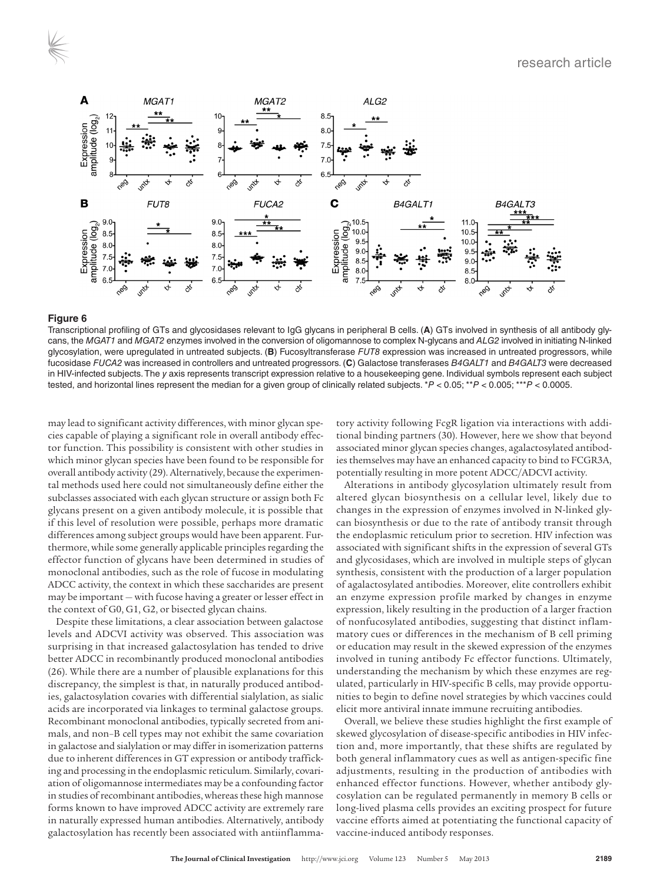

Transcriptional profiling of GTs and glycosidases relevant to IgG glycans in peripheral B cells. (**A**) GTs involved in synthesis of all antibody glycans, the *MGAT1* and *MGAT2* enzymes involved in the conversion of oligomannose to complex N-glycans and *ALG2* involved in initiating N-linked glycosylation, were upregulated in untreated subjects. (**B**) Fucosyltransferase *FUT8* expression was increased in untreated progressors, while fucosidase *FUCA2* was increased in controllers and untreated progressors. (**C**) Galactose transferases *B4GALT1* and *B4GALT3* were decreased in HIV-infected subjects. The *y* axis represents transcript expression relative to a housekeeping gene. Individual symbols represent each subject tested, and horizontal lines represent the median for a given group of clinically related subjects. \**P* < 0.05; \*\**P* < 0.005; \*\*\**P* < 0.0005.

may lead to significant activity differences, with minor glycan species capable of playing a significant role in overall antibody effector function. This possibility is consistent with other studies in which minor glycan species have been found to be responsible for overall antibody activity (29). Alternatively, because the experimental methods used here could not simultaneously define either the subclasses associated with each glycan structure or assign both Fc glycans present on a given antibody molecule, it is possible that if this level of resolution were possible, perhaps more dramatic differences among subject groups would have been apparent. Furthermore, while some generally applicable principles regarding the effector function of glycans have been determined in studies of monoclonal antibodies, such as the role of fucose in modulating ADCC activity, the context in which these saccharides are present may be important — with fucose having a greater or lesser effect in the context of G0, G1, G2, or bisected glycan chains.

Despite these limitations, a clear association between galactose levels and ADCVI activity was observed. This association was surprising in that increased galactosylation has tended to drive better ADCC in recombinantly produced monoclonal antibodies (26). While there are a number of plausible explanations for this discrepancy, the simplest is that, in naturally produced antibodies, galactosylation covaries with differential sialylation, as sialic acids are incorporated via linkages to terminal galactose groups. Recombinant monoclonal antibodies, typically secreted from animals, and non–B cell types may not exhibit the same covariation in galactose and sialylation or may differ in isomerization patterns due to inherent differences in GT expression or antibody trafficking and processing in the endoplasmic reticulum. Similarly, covariation of oligomannose intermediates may be a confounding factor in studies of recombinant antibodies, whereas these high mannose forms known to have improved ADCC activity are extremely rare in naturally expressed human antibodies. Alternatively, antibody galactosylation has recently been associated with antiinflammatory activity following FcgR ligation via interactions with additional binding partners (30). However, here we show that beyond associated minor glycan species changes, agalactosylated antibodies themselves may have an enhanced capacity to bind to FCGR3A, potentially resulting in more potent ADCC/ADCVI activity.

Alterations in antibody glycosylation ultimately result from altered glycan biosynthesis on a cellular level, likely due to changes in the expression of enzymes involved in N-linked glycan biosynthesis or due to the rate of antibody transit through the endoplasmic reticulum prior to secretion. HIV infection was associated with significant shifts in the expression of several GTs and glycosidases, which are involved in multiple steps of glycan synthesis, consistent with the production of a larger population of agalactosylated antibodies. Moreover, elite controllers exhibit an enzyme expression profile marked by changes in enzyme expression, likely resulting in the production of a larger fraction of nonfucosylated antibodies, suggesting that distinct inflammatory cues or differences in the mechanism of B cell priming or education may result in the skewed expression of the enzymes involved in tuning antibody Fc effector functions. Ultimately, understanding the mechanism by which these enzymes are regulated, particularly in HIV-specific B cells, may provide opportunities to begin to define novel strategies by which vaccines could elicit more antiviral innate immune recruiting antibodies.

Overall, we believe these studies highlight the first example of skewed glycosylation of disease-specific antibodies in HIV infection and, more importantly, that these shifts are regulated by both general inflammatory cues as well as antigen-specific fine adjustments, resulting in the production of antibodies with enhanced effector functions. However, whether antibody glycosylation can be regulated permanently in memory B cells or long-lived plasma cells provides an exciting prospect for future vaccine efforts aimed at potentiating the functional capacity of vaccine-induced antibody responses.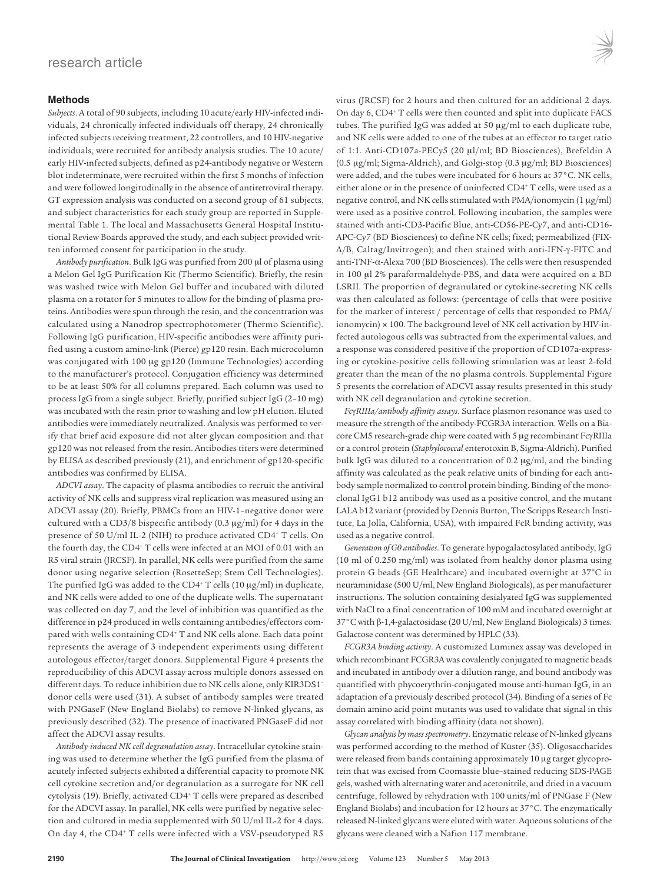#### **Methods**

*Subjects*. A total of 90 subjects, including 10 acute/early HIV-infected individuals, 24 chronically infected individuals off therapy, 24 chronically infected subjects receiving treatment, 22 controllers, and 10 HIV-negative individuals, were recruited for antibody analysis studies. The 10 acute/ early HIV-infected subjects, defined as p24-antibody negative or Western blot indeterminate, were recruited within the first 5 months of infection and were followed longitudinally in the absence of antiretroviral therapy. GT expression analysis was conducted on a second group of 61 subjects, and subject characteristics for each study group are reported in Supplemental Table 1. The local and Massachusetts General Hospital Institutional Review Boards approved the study, and each subject provided written informed consent for participation in the study.

*Antibody purification*. Bulk IgG was purified from 200 μl of plasma using a Melon Gel IgG Purification Kit (Thermo Scientific). Briefly, the resin was washed twice with Melon Gel buffer and incubated with diluted plasma on a rotator for 5 minutes to allow for the binding of plasma proteins. Antibodies were spun through the resin, and the concentration was calculated using a Nanodrop spectrophotometer (Thermo Scientific). Following IgG purification, HIV-specific antibodies were affinity purified using a custom amino-link (Pierce) gp120 resin. Each microcolumn was conjugated with 100 μg gp120 (Immune Technologies) according to the manufacturer's protocol. Conjugation efficiency was determined to be at least 50% for all columns prepared. Each column was used to process IgG from a single subject. Briefly, purified subject IgG (2–10 mg) was incubated with the resin prior to washing and low pH elution. Eluted antibodies were immediately neutralized. Analysis was performed to verify that brief acid exposure did not alter glycan composition and that gp120 was not released from the resin. Antibodies titers were determined by ELISA as described previously (21), and enrichment of gp120-specific antibodies was confirmed by ELISA.

*ADCVI assay*. The capacity of plasma antibodies to recruit the antiviral activity of NK cells and suppress viral replication was measured using an ADCVI assay (20). Briefly, PBMCs from an HIV-1–negative donor were cultured with a CD3/8 bispecific antibody (0.3 μg/ml) for 4 days in the presence of 50 U/ml IL-2 (NIH) to produce activated CD4+ T cells. On the fourth day, the CD4<sup>+</sup> T cells were infected at an MOI of 0.01 with an R5 viral strain (JRCSF). In parallel, NK cells were purified from the same donor using negative selection (RosetteSep; Stem Cell Technologies). The purified IgG was added to the CD4+ T cells (10 μg/ml) in duplicate, and NK cells were added to one of the duplicate wells. The supernatant was collected on day 7, and the level of inhibition was quantified as the difference in p24 produced in wells containing antibodies/effectors compared with wells containing CD4<sup>+</sup> T and NK cells alone. Each data point represents the average of 3 independent experiments using different autologous effector/target donors. Supplemental Figure 4 presents the reproducibility of this ADCVI assay across multiple donors assessed on different days. To reduce inhibition due to NK cells alone, only KIR3DS1– donor cells were used (31). A subset of antibody samples were treated with PNGaseF (New England Biolabs) to remove N-linked glycans, as previously described (32). The presence of inactivated PNGaseF did not affect the ADCVI assay results.

*Antibody-induced NK cell degranulation assay*. Intracellular cytokine staining was used to determine whether the IgG purified from the plasma of acutely infected subjects exhibited a differential capacity to promote NK cell cytokine secretion and/or degranulation as a surrogate for NK cell cytolysis (19). Briefly, activated CD4+ T cells were prepared as described for the ADCVI assay. In parallel, NK cells were purified by negative selection and cultured in media supplemented with 50 U/ml IL-2 for 4 days. On day 4, the CD4<sup>+</sup> T cells were infected with a VSV-pseudotyped R5

virus (JRCSF) for 2 hours and then cultured for an additional 2 days. On day 6, CD4+ T cells were then counted and split into duplicate FACS tubes. The purified IgG was added at 50 μg/ml to each duplicate tube, and NK cells were added to one of the tubes at an effector to target ratio of 1:1. Anti-CD107a-PECy5 (20 μl/ml; BD Biosciences), Brefeldin A (0.5 μg/ml; Sigma-Aldrich), and Golgi-stop (0.3 μg/ml; BD Biosciences) were added, and the tubes were incubated for 6 hours at 37°C. NK cells, either alone or in the presence of uninfected CD4<sup>+</sup> T cells, were used as a negative control, and NK cells stimulated with PMA/ionomycin (1 μg/ml) were used as a positive control. Following incubation, the samples were stained with anti-CD3-Pacific Blue, anti-CD56-PE-Cy7, and anti-CD16- APC-Cy7 (BD Biosciences) to define NK cells; fixed; permeabilized (FIX-A/B, Caltag/Invitrogen); and then stained with anti-IFN-γ-FITC and anti-TNF-α-Alexa 700 (BD Biosciences). The cells were then resuspended in 100 μl 2% paraformaldehyde-PBS, and data were acquired on a BD LSRII. The proportion of degranulated or cytokine-secreting NK cells was then calculated as follows: (percentage of cells that were positive for the marker of interest / percentage of cells that responded to PMA/ ionomycin) × 100. The background level of NK cell activation by HIV-infected autologous cells was subtracted from the experimental values, and a response was considered positive if the proportion of CD107a-expressing or cytokine-positive cells following stimulation was at least 2-fold greater than the mean of the no plasma controls. Supplemental Figure 5 presents the correlation of ADCVI assay results presented in this study with NK cell degranulation and cytokine secretion.

*Fc*γ*RIIIa/antibody affinity assays*. Surface plasmon resonance was used to measure the strength of the antibody-FCGR3A interaction. Wells on a Biacore CM5 research-grade chip were coated with 5 μg recombinant FcγRIIIa or a control protein (*Staphylococcal* enterotoxin B, Sigma-Aldrich). Purified bulk IgG was diluted to a concentration of 0.2 μg/ml, and the binding affinity was calculated as the peak relative units of binding for each antibody sample normalized to control protein binding. Binding of the monoclonal IgG1 b12 antibody was used as a positive control, and the mutant LALA b12 variant (provided by Dennis Burton, The Scripps Research Institute, La Jolla, California, USA), with impaired FcR binding activity, was used as a negative control.

*Generation of G0 antibodies*. To generate hypogalactosylated antibody, IgG (10 ml of 0.250 mg/ml) was isolated from healthy donor plasma using protein G beads (GE Healthcare) and incubated overnight at 37°C in neuraminidase (500 U/ml, New England Biologicals), as per manufacturer instructions. The solution containing desialyated IgG was supplemented with NaCl to a final concentration of 100 mM and incubated overnight at 37°C with β-1,4-galactosidase (20 U/ml, New England Biologicals) 3 times. Galactose content was determined by HPLC (33).

*FCGR3A binding activity*. A customized Luminex assay was developed in which recombinant FCGR3A was covalently conjugated to magnetic beads and incubated in antibody over a dilution range, and bound antibody was quantified with phycoerythrin-conjugated mouse anti-human IgG, in an adaptation of a previously described protocol (34). Binding of a series of Fc domain amino acid point mutants was used to validate that signal in this assay correlated with binding affinity (data not shown).

*Glycan analysis by mass spectrometry*. Enzymatic release of N-linked glycans was performed according to the method of Küster (35). Oligosaccharides were released from bands containing approximately 10 μg target glycoprotein that was excised from Coomassie blue–stained reducing SDS-PAGE gels, washed with alternating water and acetonitrile, and dried in a vacuum centrifuge, followed by rehydration with 100 units/ml of PNGase F (New England Biolabs) and incubation for 12 hours at 37°C. The enzymatically released N-linked glycans were eluted with water. Aqueous solutions of the glycans were cleaned with a Nafion 117 membrane.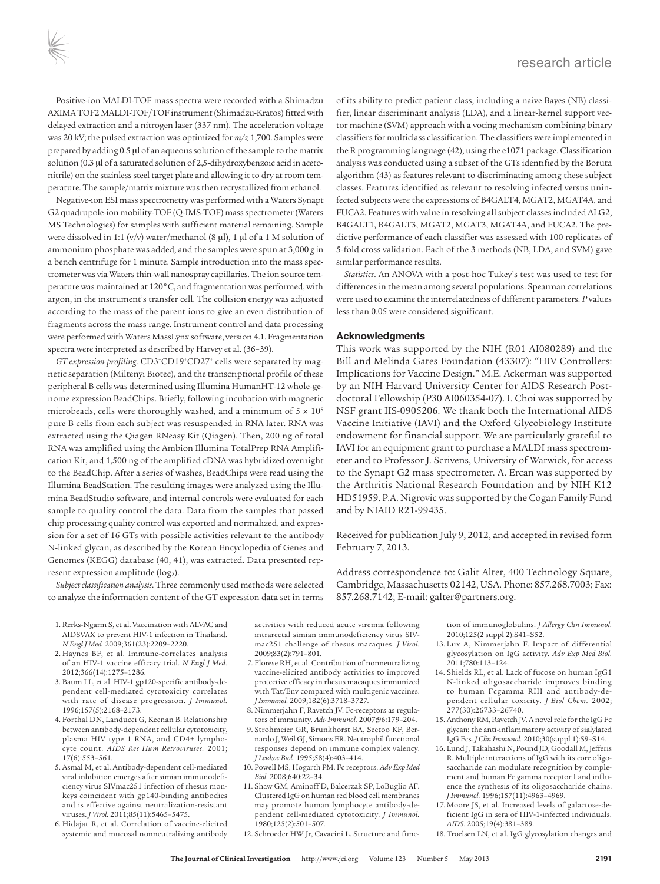Positive-ion MALDI-TOF mass spectra were recorded with a Shimadzu AXIMA TOF2 MALDI-TOF/TOF instrument (Shimadzu-Kratos) fitted with delayed extraction and a nitrogen laser (337 nm). The acceleration voltage was 20 kV; the pulsed extraction was optimized for *m/z* 1,700. Samples were prepared by adding 0.5 μl of an aqueous solution of the sample to the matrix solution (0.3 μl of a saturated solution of 2,5-dihydroxybenzoic acid in acetonitrile) on the stainless steel target plate and allowing it to dry at room temperature. The sample/matrix mixture was then recrystallized from ethanol.

Negative-ion ESI mass spectrometry was performed with a Waters Synapt G2 quadrupole-ion mobility-TOF (Q-IMS-TOF) mass spectrometer (Waters MS Technologies) for samples with sufficient material remaining. Sample were dissolved in 1:1 (v/v) water/methanol (8 μl), 1 μl of a 1 M solution of ammonium phosphate was added, and the samples were spun at 3,000 *g* in a bench centrifuge for 1 minute. Sample introduction into the mass spectrometer was via Waters thin-wall nanospray capillaries. The ion source temperature was maintained at 120°C, and fragmentation was performed, with argon, in the instrument's transfer cell. The collision energy was adjusted according to the mass of the parent ions to give an even distribution of fragments across the mass range. Instrument control and data processing were performed with Waters MassLynx software, version 4.1. Fragmentation spectra were interpreted as described by Harvey et al. (36–39).

*GT expression profiling*. CD3–CD19+CD27+ cells were separated by magnetic separation (Miltenyi Biotec), and the transcriptional profile of these peripheral B cells was determined using Illumina HumanHT-12 whole-genome expression BeadChips. Briefly, following incubation with magnetic microbeads, cells were thoroughly washed, and a minimum of  $5 \times 10^5$ pure B cells from each subject was resuspended in RNA later. RNA was extracted using the Qiagen RNeasy Kit (Qiagen). Then, 200 ng of total RNA was amplified using the Ambion Illumina TotalPrep RNA Amplification Kit, and 1,500 ng of the amplified cDNA was hybridized overnight to the BeadChip. After a series of washes, BeadChips were read using the Illumina BeadStation. The resulting images were analyzed using the Illumina BeadStudio software, and internal controls were evaluated for each sample to quality control the data. Data from the samples that passed chip processing quality control was exported and normalized, and expression for a set of 16 GTs with possible activities relevant to the antibody N-linked glycan, as described by the Korean Encyclopedia of Genes and Genomes (KEGG) database (40, 41), was extracted. Data presented represent expression amplitude (log<sub>2</sub>).

*Subject classification analysis*. Three commonly used methods were selected to analyze the information content of the GT expression data set in terms

- 1. Rerks-Ngarm S, et al. Vaccination with ALVAC and AIDSVAX to prevent HIV-1 infection in Thailand. *N Engl J Med.* 2009;361(23):2209–2220.
- 2. Haynes BF, et al. Immune-correlates analysis of an HIV-1 vaccine efficacy trial. *N Engl J Med.* 2012;366(14):1275–1286.
- 3. Baum LL, et al. HIV-1 gp120-specific antibody-dependent cell-mediated cytotoxicity correlates with rate of disease progression. *J Immunol.* 1996;157(5):2168–2173.
- 4. Forthal DN, Landucci G, Keenan B. Relationship between antibody-dependent cellular cytotoxicity, plasma HIV type 1 RNA, and CD4+ lymphocyte count. *AIDS Res Hum Retroviruses.* 2001; 17(6):553–561.
- 5. Asmal M, et al. Antibody-dependent cell-mediated viral inhibition emerges after simian immunodeficiency virus SIVmac251 infection of rhesus monkeys coincident with gp140-binding antibodies and is effective against neutralization-resistant viruses. *J Virol.* 2011;85(11):5465–5475.
- 6. Hidajat R, et al. Correlation of vaccine-elicited systemic and mucosal nonneutralizing antibody

of its ability to predict patient class, including a naive Bayes (NB) classifier, linear discriminant analysis (LDA), and a linear-kernel support vector machine (SVM) approach with a voting mechanism combining binary classifiers for multiclass classification. The classifiers were implemented in the R programming language (42), using the e1071 package. Classification analysis was conducted using a subset of the GTs identified by the Boruta algorithm (43) as features relevant to discriminating among these subject classes. Features identified as relevant to resolving infected versus uninfected subjects were the expressions of B4GALT4, MGAT2, MGAT4A, and FUCA2. Features with value in resolving all subject classes included ALG2, B4GALT1, B4GALT3, MGAT2, MGAT3, MGAT4A, and FUCA2. The predictive performance of each classifier was assessed with 100 replicates of 5-fold cross validation. Each of the 3 methods (NB, LDA, and SVM) gave similar performance results.

*Statistics*. An ANOVA with a post-hoc Tukey's test was used to test for differences in the mean among several populations. Spearman correlations were used to examine the interrelatedness of different parameters. *P* values less than 0.05 were considered significant.

#### **Acknowledgments**

This work was supported by the NIH (R01 AI080289) and the Bill and Melinda Gates Foundation (43307): "HIV Controllers: Implications for Vaccine Design." M.E. Ackerman was supported by an NIH Harvard University Center for AIDS Research Postdoctoral Fellowship (P30 AI060354-07). I. Choi was supported by NSF grant IIS-0905206. We thank both the International AIDS Vaccine Initiative (IAVI) and the Oxford Glycobiology Institute endowment for financial support. We are particularly grateful to IAVI for an equipment grant to purchase a MALDI mass spectrometer and to Professor J. Scrivens, University of Warwick, for access to the Synapt G2 mass spectrometer. A. Ercan was supported by the Arthritis National Research Foundation and by NIH K12 HD51959. P.A. Nigrovic was supported by the Cogan Family Fund and by NIAID R21-99435.

Received for publication July 9, 2012, and accepted in revised form February 7, 2013.

Address correspondence to: Galit Alter, 400 Technology Square, Cambridge, Massachusetts 02142, USA. Phone: 857.268.7003; Fax: 857.268.7142; E-mail: galter@partners.org.

activities with reduced acute viremia following intrarectal simian immunodeficiency virus SIVmac251 challenge of rhesus macaques. *J Virol.* 2009;83(2):791–801.

- 7. Florese RH, et al. Contribution of nonneutralizing vaccine-elicited antibody activities to improved protective efficacy in rhesus macaques immunized with Tat/Env compared with multigenic vaccines. *J Immunol.* 2009;182(6):3718–3727.
- 8. Nimmerjahn F, Ravetch JV. Fc-receptors as regulators of immunity. *Adv Immunol.* 2007;96:179–204.
- 9. Strohmeier GR, Brunkhorst BA, Seetoo KF, Bernardo J, Weil GJ, Simons ER. Neutrophil functional responses depend on immune complex valency. *J Leukoc Biol.* 1995;58(4):403–414.
- 10. Powell MS, Hogarth PM. Fc receptors. *Adv Exp Med Biol.* 2008;640:22–34.
- 11. Shaw GM, Aminoff D, Balcerzak SP, LoBuglio AF. Clustered IgG on human red blood cell membranes may promote human lymphocyte antibody-dependent cell-mediated cytotoxicity. *J Immunol.* 1980;125(2):501–507.
- 12. Schroeder HW Jr, Cavacini L. Structure and func-

tion of immunoglobulins. *J Allergy Clin Immunol.* 2010;125(2 suppl 2):S41–S52.

- 13. Lux A, Nimmerjahn F. Impact of differential glycosylation on IgG activity. *Adv Exp Med Biol.* 2011;780:113–124.
- 14. Shields RL, et al. Lack of fucose on human IgG1 N-linked oligosaccharide improves binding to human Fcgamma RIII and antibody-dependent cellular toxicity. *J Biol Chem.* 2002; 277(30):26733–26740.
- 15. Anthony RM, Ravetch JV. A novel role for the IgG Fc glycan: the anti-inflammatory activity of sialylated IgG Fcs. *J Clin Immunol.* 2010;30(suppl 1):S9–S14.
- 16. Lund J, Takahashi N, Pound JD, Goodall M, Jefferis R. Multiple interactions of IgG with its core oligosaccharide can modulate recognition by complement and human Fc gamma receptor I and influence the synthesis of its oligosaccharide chains. *J Immunol.* 1996;157(11):4963–4969.
- 17. Moore JS, et al. Increased levels of galactose-deficient IgG in sera of HIV-1-infected individuals. *AIDS*. 2005;19(4):381–389.
- 18. Troelsen LN, et al. IgG glycosylation changes and